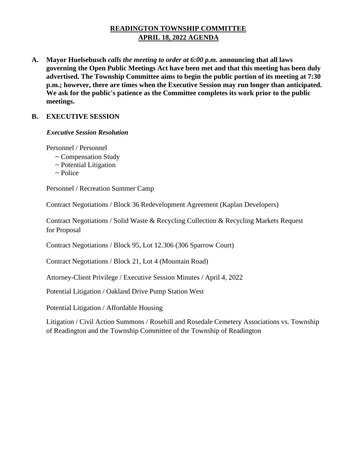# **READINGTON TOWNSHIP COMMITTEE APRIL 18, 2022 AGENDA**

**A. Mayor Huelsebusch** *calls the meeting to order at 6:00 p.m.* **announcing that all laws governing the Open Public Meetings Act have been met and that this meeting has been duly advertised. The Township Committee aims to begin the public portion of its meeting at 7:30 p.m.; however, there are times when the Executive Session may run longer than anticipated. We ask for the public's patience as the Committee completes its work prior to the public meetings.**

## **B. EXECUTIVE SESSION**

#### *Executive Session Resolution*

Personnel / Personnel

- ~ Compensation Study
- ~ Potential Litigation
- $\sim$  Police

Personnel / Recreation Summer Camp

Contract Negotiations / Block 36 Redevelopment Agreement (Kaplan Developers)

Contract Negotiations / Solid Waste & Recycling Collection & Recycling Markets Request for Proposal

Contract Negotiations / Block 95, Lot 12.306 (306 Sparrow Court)

Contract Negotiations / Block 21, Lot 4 (Mountain Road)

Attorney-Client Privilege / Executive Session Minutes / April 4, 2022

Potential Litigation / Oakland Drive Pump Station West

Potential Litigation / Affordable Housing

Litigation / Civil Action Summons / Rosehill and Rosedale Cemetery Associations vs. Township of Readington and the Township Committee of the Township of Readington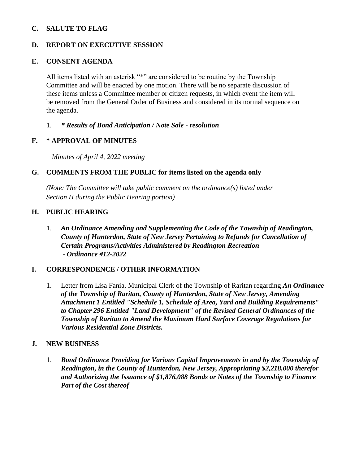## **C. SALUTE TO FLAG**

## **D. REPORT ON EXECUTIVE SESSION**

#### **E. CONSENT AGENDA**

All items listed with an asterisk "\*" are considered to be routine by the Township Committee and will be enacted by one motion. There will be no separate discussion of these items unless a Committee member or citizen requests, in which event the item will be removed from the General Order of Business and considered in its normal sequence on the agenda.

### 1. *\* Results of Bond Anticipation / Note Sale - resolution*

### **F. \* APPROVAL OF MINUTES**

 *Minutes of April 4, 2022 meeting* 

### **G. COMMENTS FROM THE PUBLIC for items listed on the agenda only**

*(Note: The Committee will take public comment on the ordinance(s) listed under Section H during the Public Hearing portion)*

### **H. PUBLIC HEARING**

1. *An Ordinance Amending and Supplementing the Code of the Township of Readington, County of Hunterdon, State of New Jersey Pertaining to Refunds for Cancellation of Certain Programs/Activities Administered by Readington Recreation - Ordinance #12-2022* 

### **I. CORRESPONDENCE / OTHER INFORMATION**

1. Letter from Lisa Fania, Municipal Clerk of the Township of Raritan regarding *An Ordinance of the Township of Raritan, County of Hunterdon, State of New Jersey, Amending Attachment 1 Entitled "Schedule 1, Schedule of Area, Yard and Building Requirements" to Chapter 296 Entitled "Land Development" of the Revised General Ordinances of the Township of Raritan to Amend the Maximum Hard Surface Coverage Regulations for Various Residential Zone Districts.*

### **J. NEW BUSINESS**

1. *Bond Ordinance Providing for Various Capital Improvements in and by the Township of Readington, in the County of Hunterdon, New Jersey, Appropriating \$2,218,000 therefor and Authorizing the Issuance of \$1,876,088 Bonds or Notes of the Township to Finance Part of the Cost thereof*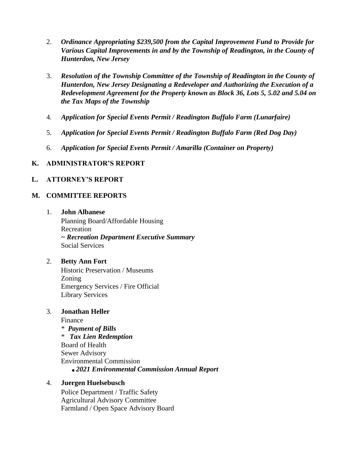- 2. *Ordinance Appropriating \$239,500 from the Capital Improvement Fund to Provide for*  Various Capital Improvements in and by the Township of Readington, in the County of *Hunterdon, New Jersey*
- 3. *Resolution of the Township Committee of the Township of Readington in the County of Hunterdon, New Jersey Designating a Redeveloper and Authorizing the Execution of a Redevelopment Agreement for the Property known as Block 36, Lots 5, 5.02 and 5.04 on the Tax Maps of the Township*
- 4. *Application for Special Events Permit / Readington Buffalo Farm (Lunarfaire)*
- 5. *Application for Special Events Permit / Readington Buffalo Farm (Red Dog Day)*
- 6. *Application for Special Events Permit / Amarilla (Container on Property)*

### **K. ADMINISTRATOR'S REPORT**

### **L. ATTORNEY'S REPORT**

#### **M. COMMITTEE REPORTS**

1. **John Albanese** Planning Board/Affordable Housing **Recreation** *~ Recreation Department Executive Summary*  Social Services

#### 2. **Betty Ann Fort**

Historic Preservation / Museums Zoning Emergency Services / Fire Official Library Services

### 3. **Jonathan Heller**

Finance \* *Payment of Bills* \* *Tax Lien Redemption*  Board of Health Sewer Advisory Environmental Commission *2021 Environmental Commission Annual Report*

#### 4. **Juergen Huelsebusch**

Police Department / Traffic Safety Agricultural Advisory Committee Farmland / Open Space Advisory Board